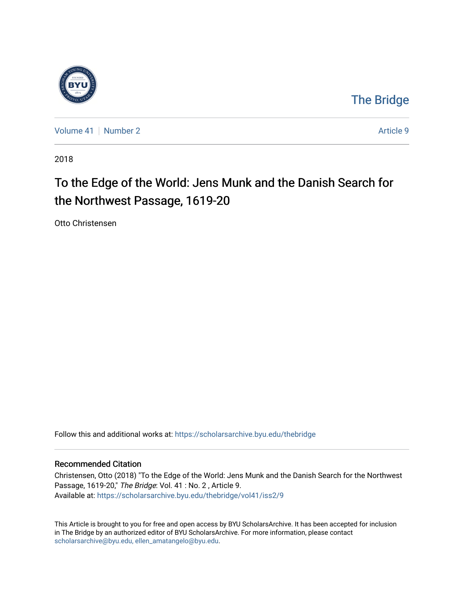

## [The Bridge](https://scholarsarchive.byu.edu/thebridge)

[Volume 41](https://scholarsarchive.byu.edu/thebridge/vol41) [Number 2](https://scholarsarchive.byu.edu/thebridge/vol41/iss2) Article 9

2018

# To the Edge of the World: Jens Munk and the Danish Search for the Northwest Passage, 1619-20

Otto Christensen

Follow this and additional works at: [https://scholarsarchive.byu.edu/thebridge](https://scholarsarchive.byu.edu/thebridge?utm_source=scholarsarchive.byu.edu%2Fthebridge%2Fvol41%2Fiss2%2F9&utm_medium=PDF&utm_campaign=PDFCoverPages) 

### Recommended Citation

Christensen, Otto (2018) "To the Edge of the World: Jens Munk and the Danish Search for the Northwest Passage, 1619-20," The Bridge: Vol. 41 : No. 2 , Article 9. Available at: [https://scholarsarchive.byu.edu/thebridge/vol41/iss2/9](https://scholarsarchive.byu.edu/thebridge/vol41/iss2/9?utm_source=scholarsarchive.byu.edu%2Fthebridge%2Fvol41%2Fiss2%2F9&utm_medium=PDF&utm_campaign=PDFCoverPages) 

This Article is brought to you for free and open access by BYU ScholarsArchive. It has been accepted for inclusion in The Bridge by an authorized editor of BYU ScholarsArchive. For more information, please contact [scholarsarchive@byu.edu, ellen\\_amatangelo@byu.edu](mailto:scholarsarchive@byu.edu,%20ellen_amatangelo@byu.edu).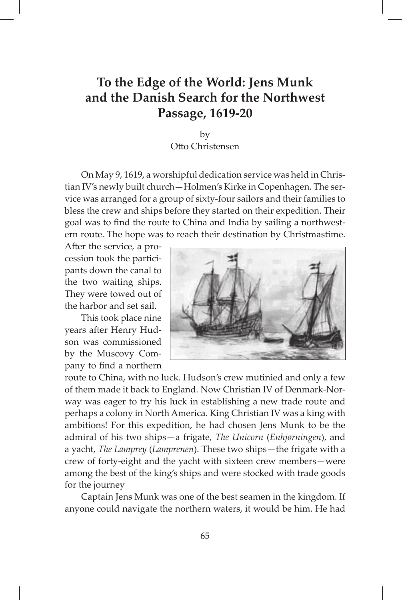### **To the Edge of the World: Jens Munk and the Danish Search for the Northwest Passage, 1619-20**

by Otto Christensen

On May 9, 1619, a worshipful dedication service was held in Christian IV's newly built church—Holmen's Kirke in Copenhagen. The service was arranged for a group of sixty-four sailors and their families to bless the crew and ships before they started on their expedition. Their goal was to find the route to China and India by sailing a northwestern route. The hope was to reach their destination by Christmastime.

After the service, a procession took the participants down the canal to the two waiting ships. They were towed out of the harbor and set sail.

This took place nine years after Henry Hudson was commissioned by the Muscovy Company to find a northern



route to China, with no luck. Hudson's crew mutinied and only a few of them made it back to England. Now Christian IV of Denmark-Norway was eager to try his luck in establishing a new trade route and perhaps a colony in North America. King Christian IV was a king with ambitions! For this expedition, he had chosen Jens Munk to be the admiral of his two ships—a frigate, *The Unicorn* (*Enhjørningen*), and a yacht, *The Lamprey* (*Lamprenen*). These two ships—the frigate with a crew of forty-eight and the yacht with sixteen crew members—were among the best of the king's ships and were stocked with trade goods for the journey

Captain Jens Munk was one of the best seamen in the kingdom. If anyone could navigate the northern waters, it would be him. He had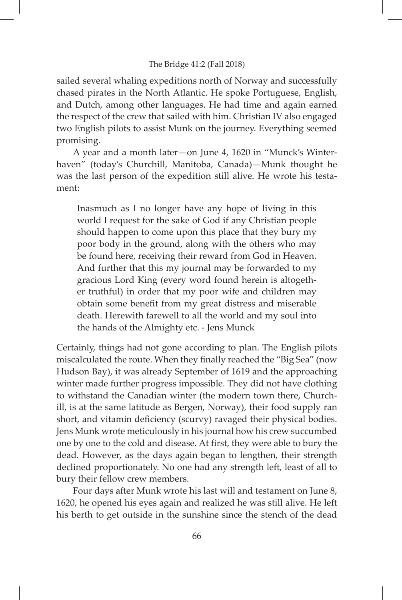### The Bridge 41:2 (Fall 2018)

sailed several whaling expeditions north of Norway and successfully chased pirates in the North Atlantic. He spoke Portuguese, English, and Dutch, among other languages. He had time and again earned the respect of the crew that sailed with him. Christian IV also engaged two English pilots to assist Munk on the journey. Everything seemed promising.

A year and a month later—on June 4, 1620 in "Munck's Winterhaven" (today's Churchill, Manitoba, Canada)—Munk thought he was the last person of the expedition still alive. He wrote his testament:

Inasmuch as I no longer have any hope of living in this world I request for the sake of God if any Christian people should happen to come upon this place that they bury my poor body in the ground, along with the others who may be found here, receiving their reward from God in Heaven. And further that this my journal may be forwarded to my gracious Lord King (every word found herein is altogether truthful) in order that my poor wife and children may obtain some benefit from my great distress and miserable death. Herewith farewell to all the world and my soul into the hands of the Almighty etc. - Jens Munck

Certainly, things had not gone according to plan. The English pilots miscalculated the route. When they finally reached the "Big Sea" (now Hudson Bay), it was already September of 1619 and the approaching winter made further progress impossible. They did not have clothing to withstand the Canadian winter (the modern town there, Churchill, is at the same latitude as Bergen, Norway), their food supply ran short, and vitamin deficiency (scurvy) ravaged their physical bodies. Jens Munk wrote meticulously in his journal how his crew succumbed one by one to the cold and disease. At first, they were able to bury the dead. However, as the days again began to lengthen, their strength declined proportionately. No one had any strength left, least of all to bury their fellow crew members.

Four days after Munk wrote his last will and testament on June 8, 1620, he opened his eyes again and realized he was still alive. He left his berth to get outside in the sunshine since the stench of the dead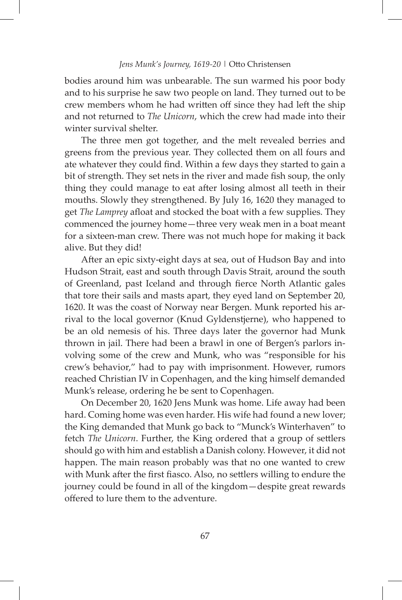### *Jens Munk's Journey, 1619-20 |* Otto Christensen

bodies around him was unbearable. The sun warmed his poor body and to his surprise he saw two people on land. They turned out to be crew members whom he had written off since they had left the ship and not returned to *The Unicorn*, which the crew had made into their winter survival shelter.

The three men got together, and the melt revealed berries and greens from the previous year. They collected them on all fours and ate whatever they could find. Within a few days they started to gain a bit of strength. They set nets in the river and made fish soup, the only thing they could manage to eat after losing almost all teeth in their mouths. Slowly they strengthened. By July 16, 1620 they managed to get *The Lamprey* afloat and stocked the boat with a few supplies. They commenced the journey home—three very weak men in a boat meant for a sixteen-man crew. There was not much hope for making it back alive. But they did!

After an epic sixty-eight days at sea, out of Hudson Bay and into Hudson Strait, east and south through Davis Strait, around the south of Greenland, past Iceland and through fierce North Atlantic gales that tore their sails and masts apart, they eyed land on September 20, 1620. It was the coast of Norway near Bergen. Munk reported his arrival to the local governor (Knud Gyldenstjerne), who happened to be an old nemesis of his. Three days later the governor had Munk thrown in jail. There had been a brawl in one of Bergen's parlors involving some of the crew and Munk, who was "responsible for his crew's behavior," had to pay with imprisonment. However, rumors reached Christian IV in Copenhagen, and the king himself demanded Munk's release, ordering he be sent to Copenhagen.

On December 20, 1620 Jens Munk was home. Life away had been hard. Coming home was even harder. His wife had found a new lover; the King demanded that Munk go back to "Munck's Winterhaven" to fetch *The Unicorn*. Further, the King ordered that a group of settlers should go with him and establish a Danish colony. However, it did not happen. The main reason probably was that no one wanted to crew with Munk after the first fiasco. Also, no settlers willing to endure the journey could be found in all of the kingdom—despite great rewards offered to lure them to the adventure.